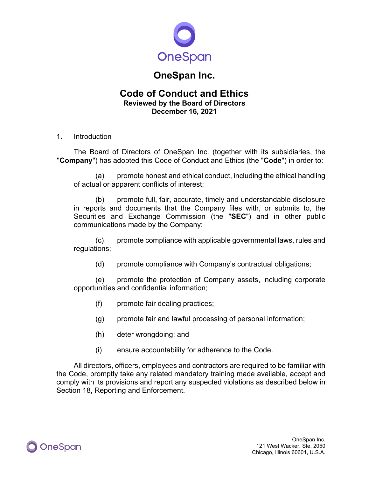

# **OneSpan Inc.**

## **Code of Conduct and Ethics Reviewed by the Board of Directors December 16, 2021**

## 1. Introduction

The Board of Directors of OneSpan Inc. (together with its subsidiaries, the "**Company**") has adopted this Code of Conduct and Ethics (the "**Code**") in order to:

(a) promote honest and ethical conduct, including the ethical handling of actual or apparent conflicts of interest;

(b) promote full, fair, accurate, timely and understandable disclosure in reports and documents that the Company files with, or submits to, the Securities and Exchange Commission (the "**SEC**") and in other public communications made by the Company;

(c) promote compliance with applicable governmental laws, rules and regulations;

(d) promote compliance with Company's contractual obligations;

(e) promote the protection of Company assets, including corporate opportunities and confidential information;

- (f) promote fair dealing practices;
- (g) promote fair and lawful processing of personal information;
- (h) deter wrongdoing; and
- (i) ensure accountability for adherence to the Code.

All directors, officers, employees and contractors are required to be familiar with the Code, promptly take any related mandatory training made available, accept and comply with its provisions and report any suspected violations as described below in Section 18, Reporting and Enforcement.

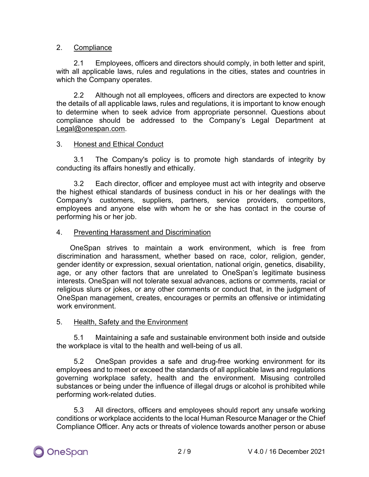## 2. Compliance

2.1 Employees, officers and directors should comply, in both letter and spirit, with all applicable laws, rules and regulations in the cities, states and countries in which the Company operates.

2.2 Although not all employees, officers and directors are expected to know the details of all applicable laws, rules and regulations, it is important to know enough to determine when to seek advice from appropriate personnel. Questions about compliance should be addressed to the Company's Legal Department at [Legal@onespan.com.](mailto:Legal@onespan.com)

## 3. Honest and Ethical Conduct

3.1 The Company's policy is to promote high standards of integrity by conducting its affairs honestly and ethically.

3.2 Each director, officer and employee must act with integrity and observe the highest ethical standards of business conduct in his or her dealings with the Company's customers, suppliers, partners, service providers, competitors, employees and anyone else with whom he or she has contact in the course of performing his or her job.

## 4. Preventing Harassment and Discrimination

OneSpan strives to maintain a work environment, which is free from discrimination and harassment, whether based on race, color, religion, gender, gender identity or expression, sexual orientation, national origin, genetics, disability, age, or any other factors that are unrelated to OneSpan's legitimate business interests. OneSpan will not tolerate sexual advances, actions or comments, racial or religious slurs or jokes, or any other comments or conduct that, in the judgment of OneSpan management, creates, encourages or permits an offensive or intimidating work environment.

## 5. Health, Safety and the Environment

5.1 Maintaining a safe and sustainable environment both inside and outside the workplace is vital to the health and well-being of us all.

5.2 OneSpan provides a safe and drug-free working environment for its employees and to meet or exceed the standards of all applicable laws and regulations governing workplace safety, health and the environment. Misusing controlled substances or being under the influence of illegal drugs or alcohol is prohibited while performing work-related duties.

5.3 All directors, officers and employees should report any unsafe working conditions or workplace accidents to the local Human Resource Manager or the Chief Compliance Officer. Any acts or threats of violence towards another person or abuse

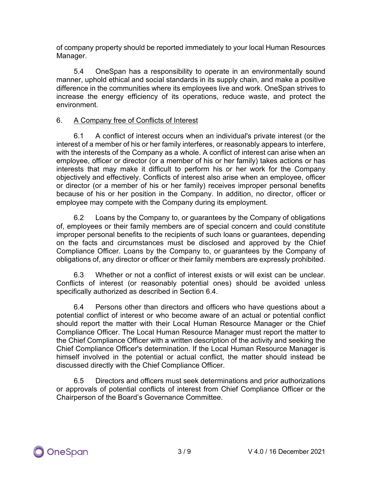of company property should be reported immediately to your local Human Resources Manager.

5.4 OneSpan has a responsibility to operate in an environmentally sound manner, uphold ethical and social standards in its supply chain, and make a positive difference in the communities where its employees live and work. OneSpan strives to increase the energy efficiency of its operations, reduce waste, and protect the environment.

## 6. A Company free of Conflicts of Interest

6.1 A conflict of interest occurs when an individual's private interest (or the interest of a member of his or her family interferes, or reasonably appears to interfere, with the interests of the Company as a whole. A conflict of interest can arise when an employee, officer or director (or a member of his or her family) takes actions or has interests that may make it difficult to perform his or her work for the Company objectively and effectively. Conflicts of interest also arise when an employee, officer or director (or a member of his or her family) receives improper personal benefits because of his or her position in the Company. In addition, no director, officer or employee may compete with the Company during its employment.

6.2 Loans by the Company to, or guarantees by the Company of obligations of, employees or their family members are of special concern and could constitute improper personal benefits to the recipients of such loans or guarantees, depending on the facts and circumstances must be disclosed and approved by the Chief Compliance Officer. Loans by the Company to, or guarantees by the Company of obligations of, any director or officer or their family members are expressly prohibited.

6.3 Whether or not a conflict of interest exists or will exist can be unclear. Conflicts of interest (or reasonably potential ones) should be avoided unless specifically authorized as described in Section 6.4.

6.4 Persons other than directors and officers who have questions about a potential conflict of interest or who become aware of an actual or potential conflict should report the matter with their Local Human Resource Manager or the Chief Compliance Officer. The Local Human Resource Manager must report the matter to the Chief Compliance Officer with a written description of the activity and seeking the Chief Compliance Officer's determination. If the Local Human Resource Manager is himself involved in the potential or actual conflict, the matter should instead be discussed directly with the Chief Compliance Officer.

6.5 Directors and officers must seek determinations and prior authorizations or approvals of potential conflicts of interest from Chief Compliance Officer or the Chairperson of the Board's Governance Committee.

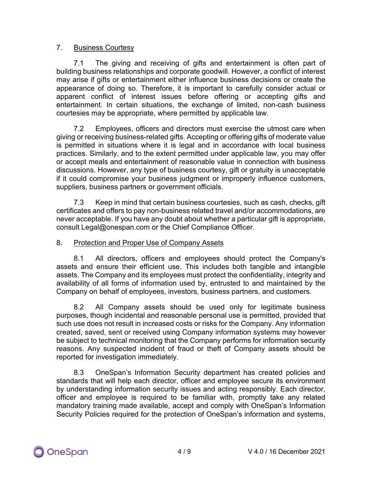## 7. Business Courtesy

7.1 The giving and receiving of gifts and entertainment is often part of building business relationships and corporate goodwill. However, a conflict of interest may arise if gifts or entertainment either influence business decisions or create the appearance of doing so. Therefore, it is important to carefully consider actual or apparent conflict of interest issues before offering or accepting gifts and entertainment. In certain situations, the exchange of limited, non-cash business courtesies may be appropriate, where permitted by applicable law.

7.2 Employees, officers and directors must exercise the utmost care when giving or receiving business-related gifts. Accepting or offering gifts of moderate value is permitted in situations where it is legal and in accordance with local business practices. Similarly, and to the extent permitted under applicable law, you may offer or accept meals and entertainment of reasonable value in connection with business discussions. However, any type of business courtesy, gift or gratuity is unacceptable if it could compromise your business judgment or improperly influence customers, suppliers, business partners or government officials.

7.3 Keep in mind that certain business courtesies, such as cash, checks, gift certificates and offers to pay non-business related travel and/or accommodations, are never acceptable. If you have any doubt about whether a particular gift is appropriate, consult Legal@onespan.com or the Chief Compliance Officer.

#### 8. Protection and Proper Use of Company Assets

8.1 All directors, officers and employees should protect the Company's assets and ensure their efficient use. This includes both tangible and intangible assets. The Company and its employees must protect the confidentiality, integrity and availability of all forms of information used by, entrusted to and maintained by the Company on behalf of employees, investors, business partners, and customers.

8.2 All Company assets should be used only for legitimate business purposes, though incidental and reasonable personal use is permitted, provided that such use does not result in increased costs or risks for the Company. Any information created, saved, sent or received using Company information systems may however be subject to technical monitoring that the Company performs for information security reasons. Any suspected incident of fraud or theft of Company assets should be reported for investigation immediately.

8.3 OneSpan's Information Security department has created policies and standards that will help each director, officer and employee secure its environment by understanding information security issues and acting responsibly. Each director, officer and employee is required to be familiar with, promptly take any related mandatory training made available, accept and comply with OneSpan's Information Security Policies required for the protection of OneSpan's information and systems,

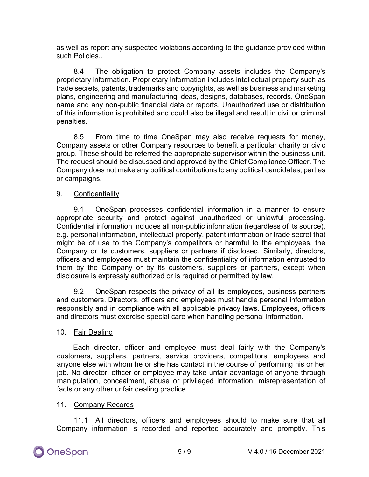as well as report any suspected violations according to the guidance provided within such Policies.

8.4 The obligation to protect Company assets includes the Company's proprietary information. Proprietary information includes intellectual property such as trade secrets, patents, trademarks and copyrights, as well as business and marketing plans, engineering and manufacturing ideas, designs, databases, records, OneSpan name and any non-public financial data or reports. Unauthorized use or distribution of this information is prohibited and could also be illegal and result in civil or criminal penalties.

8.5 From time to time OneSpan may also receive requests for money, Company assets or other Company resources to benefit a particular charity or civic group. These should be referred the appropriate supervisor within the business unit. The request should be discussed and approved by the Chief Compliance Officer. The Company does not make any political contributions to any political candidates, parties or campaigns.

## 9. Confidentiality

9.1 OneSpan processes confidential information in a manner to ensure appropriate security and protect against unauthorized or unlawful processing. Confidential information includes all non-public information (regardless of its source), e.g. personal information, intellectual property, patent information or trade secret that might be of use to the Company's competitors or harmful to the employees, the Company or its customers, suppliers or partners if disclosed. Similarly, directors, officers and employees must maintain the confidentiality of information entrusted to them by the Company or by its customers, suppliers or partners, except when disclosure is expressly authorized or is required or permitted by law.

9.2 OneSpan respects the privacy of all its employees, business partners and customers. Directors, officers and employees must handle personal information responsibly and in compliance with all applicable privacy laws. Employees, officers and directors must exercise special care when handling personal information.

#### 10. Fair Dealing

Each director, officer and employee must deal fairly with the Company's customers, suppliers, partners, service providers, competitors, employees and anyone else with whom he or she has contact in the course of performing his or her job. No director, officer or employee may take unfair advantage of anyone through manipulation, concealment, abuse or privileged information, misrepresentation of facts or any other unfair dealing practice.

#### 11. Company Records

11.1 All directors, officers and employees should to make sure that all Company information is recorded and reported accurately and promptly. This

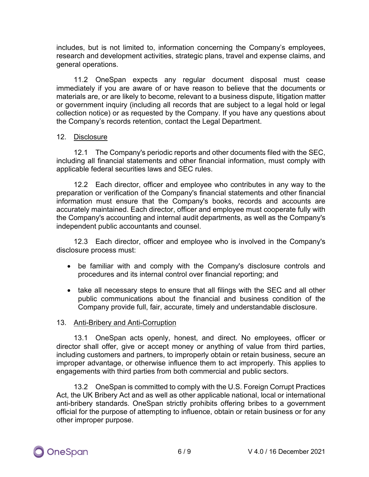includes, but is not limited to, information concerning the Company's employees, research and development activities, strategic plans, travel and expense claims, and general operations.

11.2 OneSpan expects any regular document disposal must cease immediately if you are aware of or have reason to believe that the documents or materials are, or are likely to become, relevant to a business dispute, litigation matter or government inquiry (including all records that are subject to a legal hold or legal collection notice) or as requested by the Company. If you have any questions about the Company's records retention, contact the Legal Department.

## 12. Disclosure

12.1 The Company's periodic reports and other documents filed with the SEC, including all financial statements and other financial information, must comply with applicable federal securities laws and SEC rules.

12.2 Each director, officer and employee who contributes in any way to the preparation or verification of the Company's financial statements and other financial information must ensure that the Company's books, records and accounts are accurately maintained. Each director, officer and employee must cooperate fully with the Company's accounting and internal audit departments, as well as the Company's independent public accountants and counsel.

12.3 Each director, officer and employee who is involved in the Company's disclosure process must:

- be familiar with and comply with the Company's disclosure controls and procedures and its internal control over financial reporting; and
- take all necessary steps to ensure that all filings with the SEC and all other public communications about the financial and business condition of the Company provide full, fair, accurate, timely and understandable disclosure.

## 13. Anti-Bribery and Anti-Corruption

13.1 OneSpan acts openly, honest, and direct. No employees, officer or director shall offer, give or accept money or anything of value from third parties, including customers and partners, to improperly obtain or retain business, secure an improper advantage, or otherwise influence them to act improperly. This applies to engagements with third parties from both commercial and public sectors.

13.2 OneSpan is committed to comply with the U.S. Foreign Corrupt Practices Act, the UK Bribery Act and as well as other applicable national, local or international anti-bribery standards. OneSpan strictly prohibits offering bribes to a government official for the purpose of attempting to influence, obtain or retain business or for any other improper purpose.

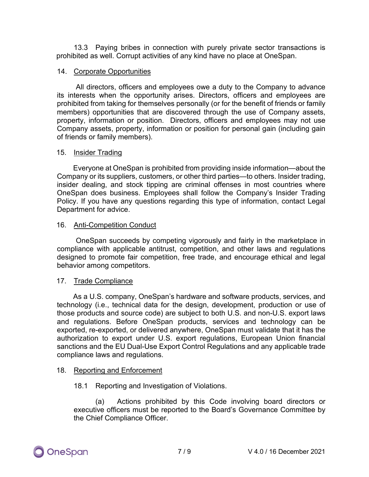13.3 Paying bribes in connection with purely private sector transactions is prohibited as well. Corrupt activities of any kind have no place at OneSpan.

## 14. Corporate Opportunities

All directors, officers and employees owe a duty to the Company to advance its interests when the opportunity arises. Directors, officers and employees are prohibited from taking for themselves personally (or for the benefit of friends or family members) opportunities that are discovered through the use of Company assets, property, information or position. Directors, officers and employees may not use Company assets, property, information or position for personal gain (including gain of friends or family members).

#### 15. Insider Trading

Everyone at OneSpan is prohibited from providing inside information—about the Company or its suppliers, customers, or other third parties—to others. Insider trading, insider dealing, and stock tipping are criminal offenses in most countries where OneSpan does business. Employees shall follow the Company's Insider Trading Policy. If you have any questions regarding this type of information, contact Legal Department for advice.

## 16. Anti-Competition Conduct

OneSpan succeeds by competing vigorously and fairly in the marketplace in compliance with applicable antitrust, competition, and other laws and regulations designed to promote fair competition, free trade, and encourage ethical and legal behavior among competitors.

## 17. Trade Compliance

As a U.S. company, OneSpan's hardware and software products, services, and technology (i.e., technical data for the design, development, production or use of those products and source code) are subject to both U.S. and non-U.S. export laws and regulations. Before OneSpan products, services and technology can be exported, re-exported, or delivered anywhere, OneSpan must validate that it has the authorization to export under U.S. export regulations, European Union financial sanctions and the EU Dual-Use Export Control Regulations and any applicable trade compliance laws and regulations.

## 18. Reporting and Enforcement

#### 18.1 Reporting and Investigation of Violations.

(a) Actions prohibited by this Code involving board directors or executive officers must be reported to the Board's Governance Committee by the Chief Compliance Officer.

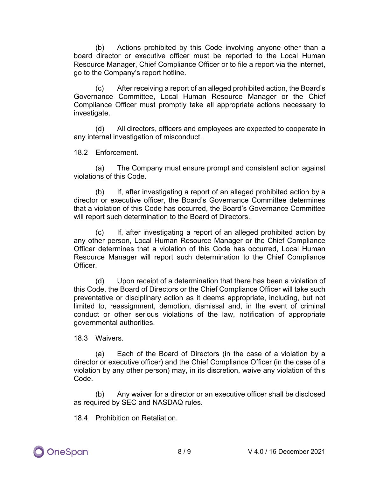(b) Actions prohibited by this Code involving anyone other than a board director or executive officer must be reported to the Local Human Resource Manager, Chief Compliance Officer or to file a report via the internet, go to the Company's report hotline.

(c) After receiving a report of an alleged prohibited action, the Board's Governance Committee, Local Human Resource Manager or the Chief Compliance Officer must promptly take all appropriate actions necessary to investigate.

(d) All directors, officers and employees are expected to cooperate in any internal investigation of misconduct.

18.2 Enforcement.

(a) The Company must ensure prompt and consistent action against violations of this Code.

(b) If, after investigating a report of an alleged prohibited action by a director or executive officer, the Board's Governance Committee determines that a violation of this Code has occurred, the Board's Governance Committee will report such determination to the Board of Directors.

(c) If, after investigating a report of an alleged prohibited action by any other person, Local Human Resource Manager or the Chief Compliance Officer determines that a violation of this Code has occurred, Local Human Resource Manager will report such determination to the Chief Compliance **Officer** 

(d) Upon receipt of a determination that there has been a violation of this Code, the Board of Directors or the Chief Compliance Officer will take such preventative or disciplinary action as it deems appropriate, including, but not limited to, reassignment, demotion, dismissal and, in the event of criminal conduct or other serious violations of the law, notification of appropriate governmental authorities.

18.3 Waivers.

(a) Each of the Board of Directors (in the case of a violation by a director or executive officer) and the Chief Compliance Officer (in the case of a violation by any other person) may, in its discretion, waive any violation of this Code.

(b) Any waiver for a director or an executive officer shall be disclosed as required by SEC and NASDAQ rules.

18.4 Prohibition on Retaliation.